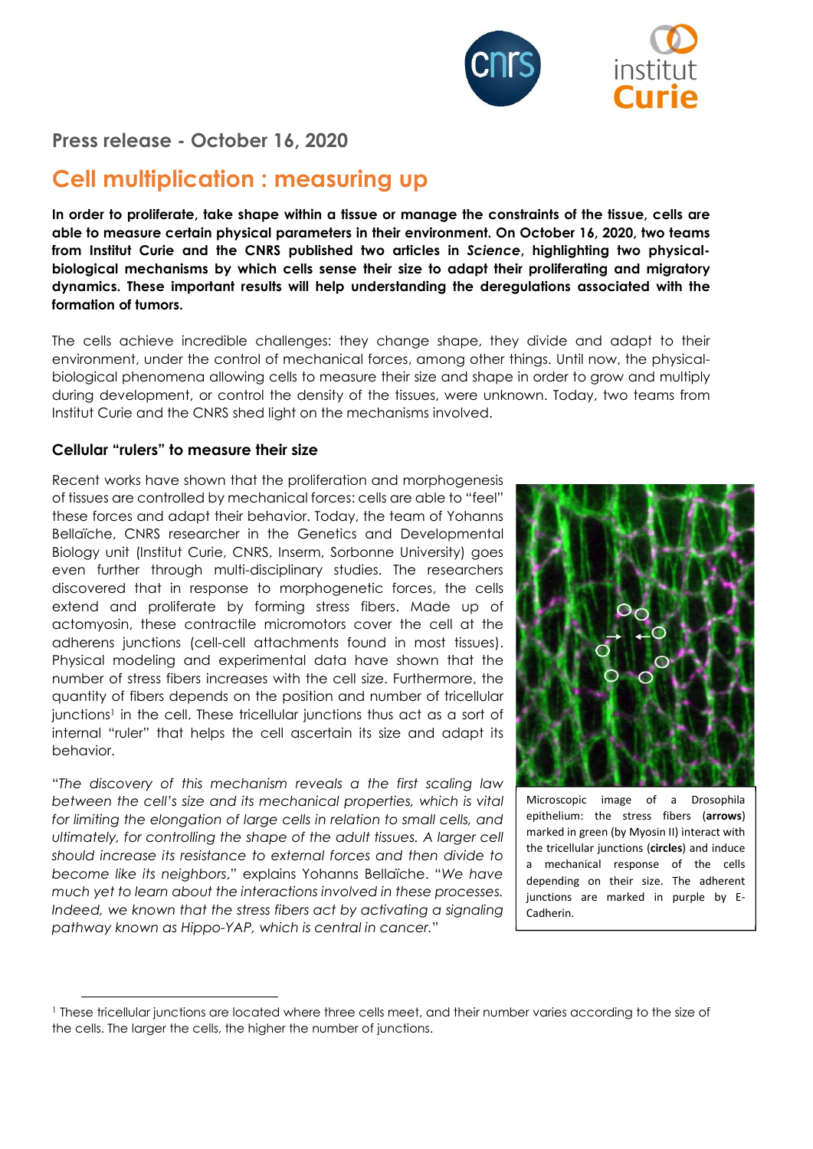

Press release - October 16, 2020

# Cell multiplication : measuring up

In order to proliferate, take shape within a tissue or manage the constraints of the tissue, cells are able to measure certain physical parameters in their environment. On October 16, 2020, two teams from Institut Curie and the CNRS published two articles in Science, highlighting two physicalbiological mechanisms by which cells sense their size to adapt their proliferating and migratory dynamics. These important results will help understanding the deregulations associated with the formation of tumors.

The cells achieve incredible challenges: they change shape, they divide and adapt to their environment, under the control of mechanical forces, among other things. Until now, the physicalbiological phenomena allowing cells to measure their size and shape in order to grow and multiply during development, or control the density of the tissues, were unknown. Today, two teams from Institut Curie and the CNRS shed light on the mechanisms involved.

#### Cellular "rulers" to measure their size

Recent works have shown that the proliferation and morphogenesis of tissues are controlled by mechanical forces: cells are able to "feel" these forces and adapt their behavior. Today, the team of Yohanns Bellaïche, CNRS researcher in the Genetics and Developmental Biology unit (Institut Curie, CNRS, Inserm, Sorbonne University) goes even further through multi-disciplinary studies. The researchers discovered that in response to morphogenetic forces, the cells extend and proliferate by forming stress fibers. Made up of actomyosin, these contractile micromotors cover the cell at the adherens junctions (cell-cell attachments found in most tissues). Physical modeling and experimental data have shown that the number of stress fibers increases with the cell size. Furthermore, the quantity of fibers depends on the position and number of tricellular junctions<sup>1</sup> in the cell. These tricellular junctions thus act as a sort of internal "ruler" that helps the cell ascertain its size and adapt its behavior.

"The discovery of this mechanism reveals a the first scaling law between the cell's size and its mechanical properties, which is vital for limiting the elongation of large cells in relation to small cells, and ultimately, for controlling the shape of the adult tissues. A larger cell should increase its resistance to external forces and then divide to become like its neighbors," explains Yohanns Bellaïche. "We have much yet to learn about the interactions involved in these processes. Indeed, we known that the stress fibers act by activating a signaling pathway known as Hippo-YAP, which is central in cancer."



Microscopic image of a Drosophila epithelium: the stress fibers (arrows) marked in green (by Myosin II) interact with the tricellular junctions (circles) and induce a mechanical response of the cells depending on their size. The adherent junctions are marked in purple by E-Cadherin.

<sup>1</sup> These tricellular junctions are located where three cells meet, and their number varies according to the size of the cells. The larger the cells, the higher the number of junctions.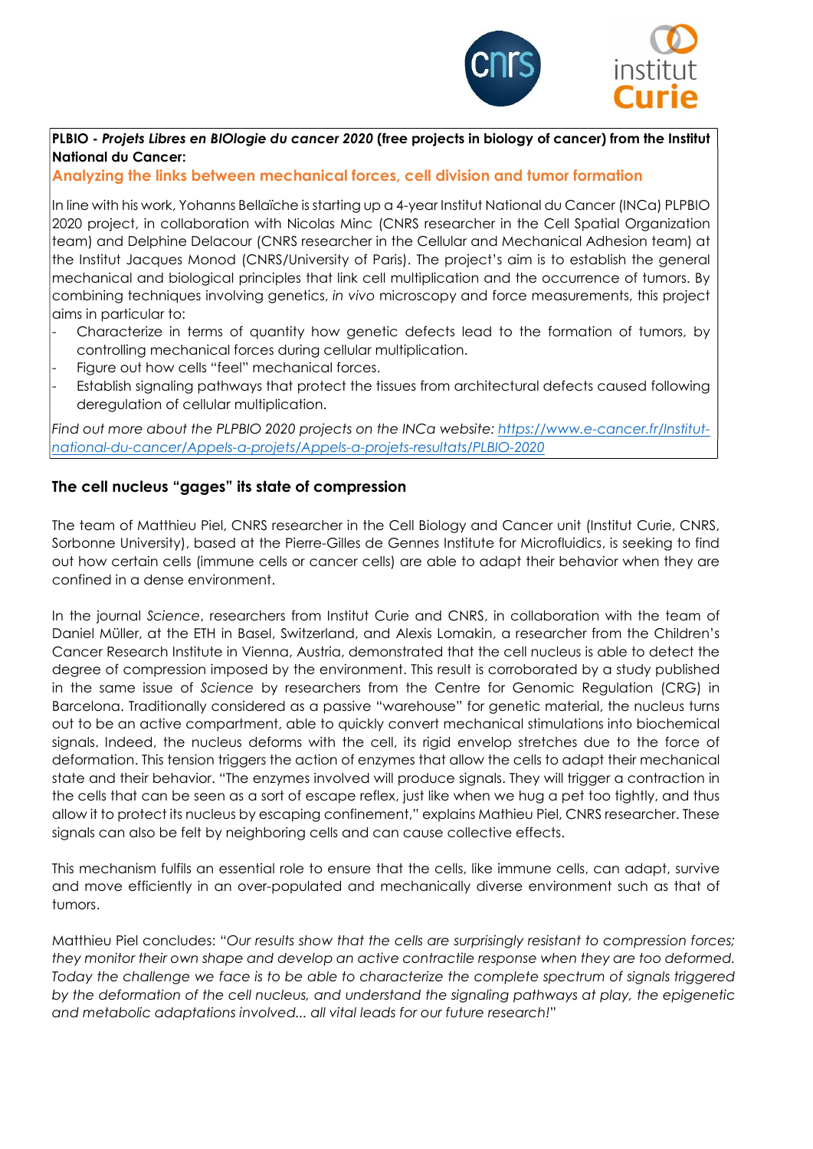

## PLBIO - Projets Libres en BIOlogie du cancer 2020 (free projects in biology of cancer) from the Institut National du Cancer:

# Analyzing the links between mechanical forces, cell division and tumor formation

In line with his work, Yohanns Bellaïche is starting up a 4-year Institut National du Cancer (INCa) PLPBIO 2020 project, in collaboration with Nicolas Minc (CNRS researcher in the Cell Spatial Organization team) and Delphine Delacour (CNRS researcher in the Cellular and Mechanical Adhesion team) at the Institut Jacques Monod (CNRS/University of Paris). The project's aim is to establish the general mechanical and biological principles that link cell multiplication and the occurrence of tumors. By combining techniques involving genetics, in vivo microscopy and force measurements, this project aims in particular to:

- Characterize in terms of quantity how genetic defects lead to the formation of tumors, by controlling mechanical forces during cellular multiplication.
- Figure out how cells "feel" mechanical forces.
- Establish signaling pathways that protect the tissues from architectural defects caused following deregulation of cellular multiplication.

Find out more about the PLPBIO 2020 projects on the INCa website: https://www.e-cancer.fr/Institutnational-du-cancer/Appels-a-projets/Appels-a-projets-resultats/PLBIO-2020

## The cell nucleus "gages" its state of compression

The team of Matthieu Piel, CNRS researcher in the Cell Biology and Cancer unit (Institut Curie, CNRS, Sorbonne University), based at the Pierre-Gilles de Gennes Institute for Microfluidics, is seeking to find out how certain cells (immune cells or cancer cells) are able to adapt their behavior when they are confined in a dense environment.

In the journal Science, researchers from Institut Curie and CNRS, in collaboration with the team of Daniel Müller, at the ETH in Basel, Switzerland, and Alexis Lomakin, a researcher from the Children's Cancer Research Institute in Vienna, Austria, demonstrated that the cell nucleus is able to detect the degree of compression imposed by the environment. This result is corroborated by a study published in the same issue of Science by researchers from the Centre for Genomic Regulation (CRG) in Barcelona. Traditionally considered as a passive "warehouse" for genetic material, the nucleus turns out to be an active compartment, able to quickly convert mechanical stimulations into biochemical signals. Indeed, the nucleus deforms with the cell, its rigid envelop stretches due to the force of deformation. This tension triggers the action of enzymes that allow the cells to adapt their mechanical state and their behavior. "The enzymes involved will produce signals. They will trigger a contraction in the cells that can be seen as a sort of escape reflex, just like when we hug a pet too tightly, and thus allow it to protect its nucleus by escaping confinement," explains Mathieu Piel, CNRS researcher. These signals can also be felt by neighboring cells and can cause collective effects.

This mechanism fulfils an essential role to ensure that the cells, like immune cells, can adapt, survive and move efficiently in an over-populated and mechanically diverse environment such as that of tumors.

Matthieu Piel concludes: "Our results show that the cells are surprisingly resistant to compression forces; they monitor their own shape and develop an active contractile response when they are too deformed. Today the challenge we face is to be able to characterize the complete spectrum of signals triggered by the deformation of the cell nucleus, and understand the signaling pathways at play, the epigenetic and metabolic adaptations involved... all vital leads for our future research!"